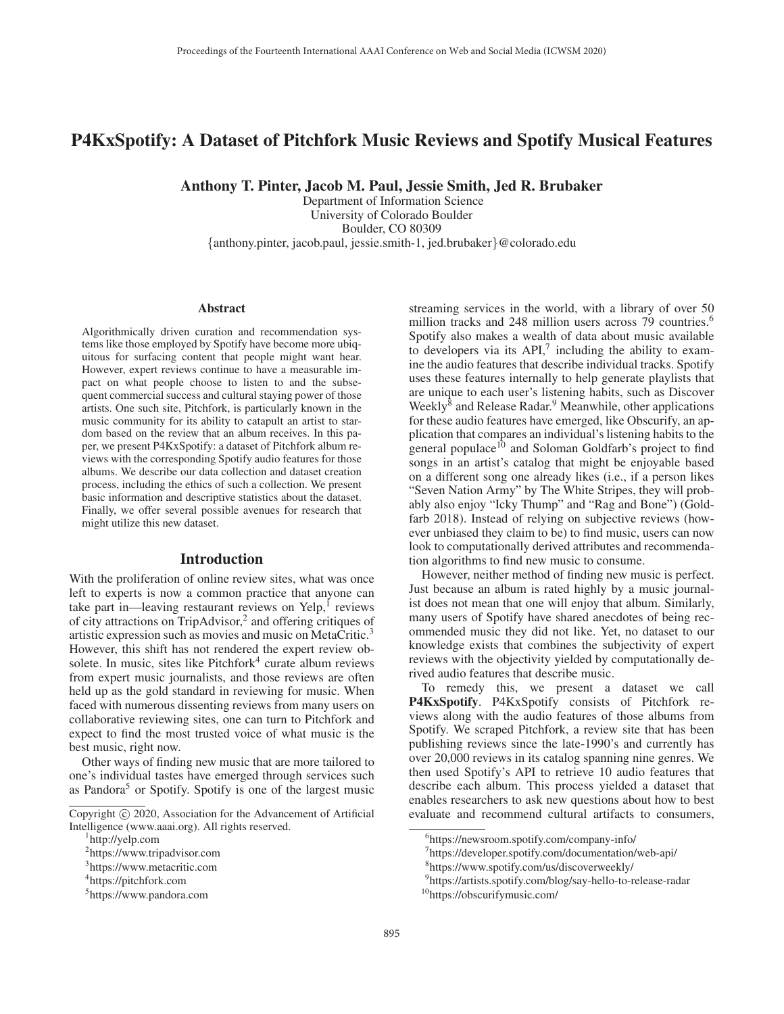# P4KxSpotify: A Dataset of Pitchfork Music Reviews and Spotify Musical Features

Anthony T. Pinter, Jacob M. Paul, Jessie Smith, Jed R. Brubaker

Department of Information Science University of Colorado Boulder Boulder, CO 80309 {anthony.pinter, jacob.paul, jessie.smith-1, jed.brubaker}@colorado.edu

#### Abstract

Algorithmically driven curation and recommendation systems like those employed by Spotify have become more ubiquitous for surfacing content that people might want hear. However, expert reviews continue to have a measurable impact on what people choose to listen to and the subsequent commercial success and cultural staying power of those artists. One such site, Pitchfork, is particularly known in the music community for its ability to catapult an artist to stardom based on the review that an album receives. In this paper, we present P4KxSpotify: a dataset of Pitchfork album reviews with the corresponding Spotify audio features for those albums. We describe our data collection and dataset creation process, including the ethics of such a collection. We present basic information and descriptive statistics about the dataset. Finally, we offer several possible avenues for research that might utilize this new dataset.

### Introduction

With the proliferation of online review sites, what was once left to experts is now a common practice that anyone can take part in—leaving restaurant reviews on  $\text{Yelp}^1$  reviews of city attractions on TripAdvisor,<sup>2</sup> and offering critiques of artistic expression such as movies and music on MetaCritic.<sup>3</sup> However, this shift has not rendered the expert review obsolete. In music, sites like Pitchfork<sup>4</sup> curate album reviews from expert music journalists, and those reviews are often held up as the gold standard in reviewing for music. When faced with numerous dissenting reviews from many users on collaborative reviewing sites, one can turn to Pitchfork and expect to find the most trusted voice of what music is the best music, right now.

Other ways of finding new music that are more tailored to one's individual tastes have emerged through services such as Pandora<sup>5</sup> or Spotify. Spotify is one of the largest music

streaming services in the world, with a library of over 50 million tracks and 248 million users across 79 countries.<sup>6</sup> Spotify also makes a wealth of data about music available to developers via its  $API<sub>1</sub><sup>7</sup>$  including the ability to examine the audio features that describe individual tracks. Spotify uses these features internally to help generate playlists that are unique to each user's listening habits, such as Discover Weekly<sup>8</sup> and Release Radar.<sup>9</sup> Meanwhile, other applications for these audio features have emerged, like Obscurify, an application that compares an individual's listening habits to the general populace<sup>10</sup> and Soloman Goldfarb's project to find songs in an artist's catalog that might be enjoyable based on a different song one already likes (i.e., if a person likes "Seven Nation Army" by The White Stripes, they will probably also enjoy "Icky Thump" and "Rag and Bone") (Goldfarb 2018). Instead of relying on subjective reviews (however unbiased they claim to be) to find music, users can now look to computationally derived attributes and recommendation algorithms to find new music to consume.

However, neither method of finding new music is perfect. Just because an album is rated highly by a music journalist does not mean that one will enjoy that album. Similarly, many users of Spotify have shared anecdotes of being recommended music they did not like. Yet, no dataset to our knowledge exists that combines the subjectivity of expert reviews with the objectivity yielded by computationally derived audio features that describe music.

To remedy this, we present a dataset we call P4KxSpotify. P4KxSpotify consists of Pitchfork reviews along with the audio features of those albums from Spotify. We scraped Pitchfork, a review site that has been publishing reviews since the late-1990's and currently has over 20,000 reviews in its catalog spanning nine genres. We then used Spotify's API to retrieve 10 audio features that describe each album. This process yielded a dataset that enables researchers to ask new questions about how to best evaluate and recommend cultural artifacts to consumers,

Copyright  $\odot$  2020, Association for the Advancement of Artificial Intelligence (www.aaai.org). All rights reserved.

http://yelp.com

<sup>2</sup> https://www.tripadvisor.com

<sup>3</sup> https://www.metacritic.com

<sup>4</sup> https://pitchfork.com

<sup>5</sup> https://www.pandora.com

<sup>6</sup> https://newsroom.spotify.com/company-info/

<sup>7</sup> https://developer.spotify.com/documentation/web-api/

<sup>8</sup> https://www.spotify.com/us/discoverweekly/

<sup>9</sup> https://artists.spotify.com/blog/say-hello-to-release-radar

<sup>10</sup>https://obscurifymusic.com/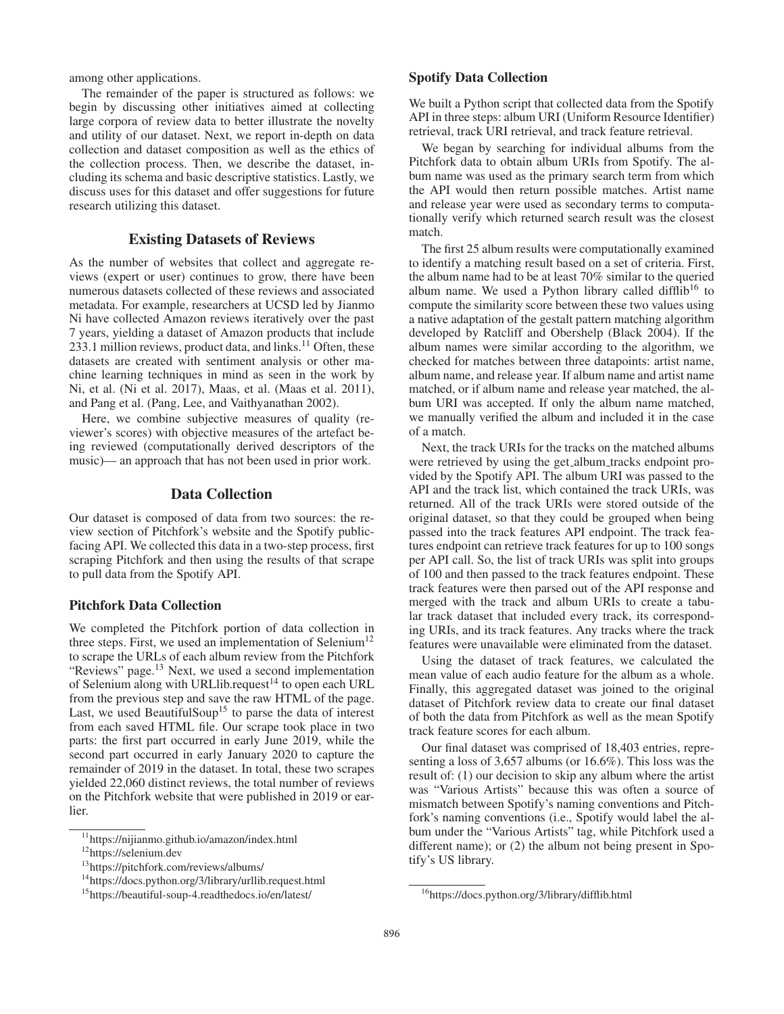among other applications.

The remainder of the paper is structured as follows: we begin by discussing other initiatives aimed at collecting large corpora of review data to better illustrate the novelty and utility of our dataset. Next, we report in-depth on data collection and dataset composition as well as the ethics of the collection process. Then, we describe the dataset, including its schema and basic descriptive statistics. Lastly, we discuss uses for this dataset and offer suggestions for future research utilizing this dataset.

# Existing Datasets of Reviews

As the number of websites that collect and aggregate reviews (expert or user) continues to grow, there have been numerous datasets collected of these reviews and associated metadata. For example, researchers at UCSD led by Jianmo Ni have collected Amazon reviews iteratively over the past 7 years, yielding a dataset of Amazon products that include 233.1 million reviews, product data, and links.<sup>11</sup> Often, these datasets are created with sentiment analysis or other machine learning techniques in mind as seen in the work by Ni, et al. (Ni et al. 2017), Maas, et al. (Maas et al. 2011), and Pang et al. (Pang, Lee, and Vaithyanathan 2002).

Here, we combine subjective measures of quality (reviewer's scores) with objective measures of the artefact being reviewed (computationally derived descriptors of the music)— an approach that has not been used in prior work.

# Data Collection

Our dataset is composed of data from two sources: the review section of Pitchfork's website and the Spotify publicfacing API. We collected this data in a two-step process, first scraping Pitchfork and then using the results of that scrape to pull data from the Spotify API.

### Pitchfork Data Collection

We completed the Pitchfork portion of data collection in three steps. First, we used an implementation of Selenium<sup>12</sup> to scrape the URLs of each album review from the Pitchfork "Reviews" page.<sup>13</sup> Next, we used a second implementation of Selenium along with URLlib.request<sup>14</sup> to open each URL from the previous step and save the raw HTML of the page. Last, we used BeautifulSoup<sup>15</sup> to parse the data of interest from each saved HTML file. Our scrape took place in two parts: the first part occurred in early June 2019, while the second part occurred in early January 2020 to capture the remainder of 2019 in the dataset. In total, these two scrapes yielded 22,060 distinct reviews, the total number of reviews on the Pitchfork website that were published in 2019 or earlier.

#### Spotify Data Collection

We built a Python script that collected data from the Spotify API in three steps: album URI (Uniform Resource Identifier) retrieval, track URI retrieval, and track feature retrieval.

We began by searching for individual albums from the Pitchfork data to obtain album URIs from Spotify. The album name was used as the primary search term from which the API would then return possible matches. Artist name and release year were used as secondary terms to computationally verify which returned search result was the closest match.

The first 25 album results were computationally examined to identify a matching result based on a set of criteria. First, the album name had to be at least 70% similar to the queried album name. We used a Python library called difflib<sup>16</sup> to compute the similarity score between these two values using a native adaptation of the gestalt pattern matching algorithm developed by Ratcliff and Obershelp (Black 2004). If the album names were similar according to the algorithm, we checked for matches between three datapoints: artist name, album name, and release year. If album name and artist name matched, or if album name and release year matched, the album URI was accepted. If only the album name matched, we manually verified the album and included it in the case of a match.

Next, the track URIs for the tracks on the matched albums were retrieved by using the get\_album\_tracks endpoint provided by the Spotify API. The album URI was passed to the API and the track list, which contained the track URIs, was returned. All of the track URIs were stored outside of the original dataset, so that they could be grouped when being passed into the track features API endpoint. The track features endpoint can retrieve track features for up to 100 songs per API call. So, the list of track URIs was split into groups of 100 and then passed to the track features endpoint. These track features were then parsed out of the API response and merged with the track and album URIs to create a tabular track dataset that included every track, its corresponding URIs, and its track features. Any tracks where the track features were unavailable were eliminated from the dataset.

Using the dataset of track features, we calculated the mean value of each audio feature for the album as a whole. Finally, this aggregated dataset was joined to the original dataset of Pitchfork review data to create our final dataset of both the data from Pitchfork as well as the mean Spotify track feature scores for each album.

Our final dataset was comprised of 18,403 entries, representing a loss of 3,657 albums (or 16.6%). This loss was the result of: (1) our decision to skip any album where the artist was "Various Artists" because this was often a source of mismatch between Spotify's naming conventions and Pitchfork's naming conventions (i.e., Spotify would label the album under the "Various Artists" tag, while Pitchfork used a different name); or (2) the album not being present in Spotify's US library.

<sup>11</sup>https://nijianmo.github.io/amazon/index.html

<sup>12</sup>https://selenium.dev

<sup>13</sup>https://pitchfork.com/reviews/albums/

<sup>14</sup>https://docs.python.org/3/library/urllib.request.html

<sup>15</sup>https://beautiful-soup-4.readthedocs.io/en/latest/

<sup>16</sup>https://docs.python.org/3/library/difflib.html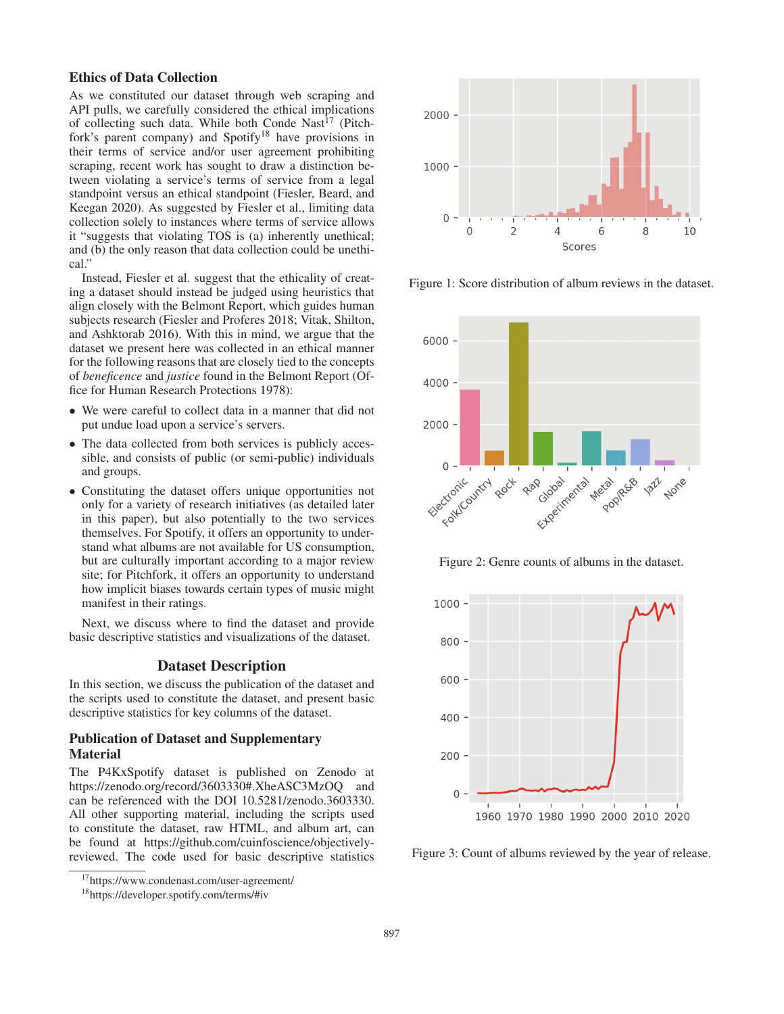#### Ethics of Data Collection

As we constituted our dataset through web scraping and API pulls, we carefully considered the ethical implications of collecting such data. While both Conde Nast<sup>17</sup> (Pitchfork's parent company) and Spotify<sup>18</sup> have provisions in their terms of service and/or user agreement prohibiting scraping, recent work has sought to draw a distinction between violating a service's terms of service from a legal standpoint versus an ethical standpoint (Fiesler, Beard, and Keegan 2020). As suggested by Fiesler et al., limiting data collection solely to instances where terms of service allows it "suggests that violating TOS is (a) inherently unethical; and (b) the only reason that data collection could be unethical.

Instead, Fiesler et al. suggest that the ethicality of creating a dataset should instead be judged using heuristics that align closely with the Belmont Report, which guides human subjects research (Fiesler and Proferes 2018; Vitak, Shilton, and Ashktorab 2016). With this in mind, we argue that the dataset we present here was collected in an ethical manner for the following reasons that are closely tied to the concepts of *beneficence* and *justice* found in the Belmont Report (Office for Human Research Protections 1978):

- We were careful to collect data in a manner that did not put undue load upon a service's servers.
- The data collected from both services is publicly accessible, and consists of public (or semi-public) individuals and groups.
- Constituting the dataset offers unique opportunities not only for a variety of research initiatives (as detailed later in this paper), but also potentially to the two services themselves. For Spotify, it offers an opportunity to understand what albums are not available for US consumption, but are culturally important according to a major review site; for Pitchfork, it offers an opportunity to understand how implicit biases towards certain types of music might manifest in their ratings.

Next, we discuss where to find the dataset and provide basic descriptive statistics and visualizations of the dataset.

#### Dataset Description

In this section, we discuss the publication of the dataset and the scripts used to constitute the dataset, and present basic descriptive statistics for key columns of the dataset.

### Publication of Dataset and Supplementary Material

The P4KxSpotify dataset is published on Zenodo at https://zenodo.org/record/3603330#.XheASC3MzOQ and can be referenced with the DOI 10.5281/zenodo.3603330. All other supporting material, including the scripts used to constitute the dataset, raw HTML, and album art, can be found at https://github.com/cuinfoscience/objectivelyreviewed. The code used for basic descriptive statistics



18https://developer.spotify.com/terms/#iv



Figure 1: Score distribution of album reviews in the dataset.



Figure 2: Genre counts of albums in the dataset.



Figure 3: Count of albums reviewed by the year of release.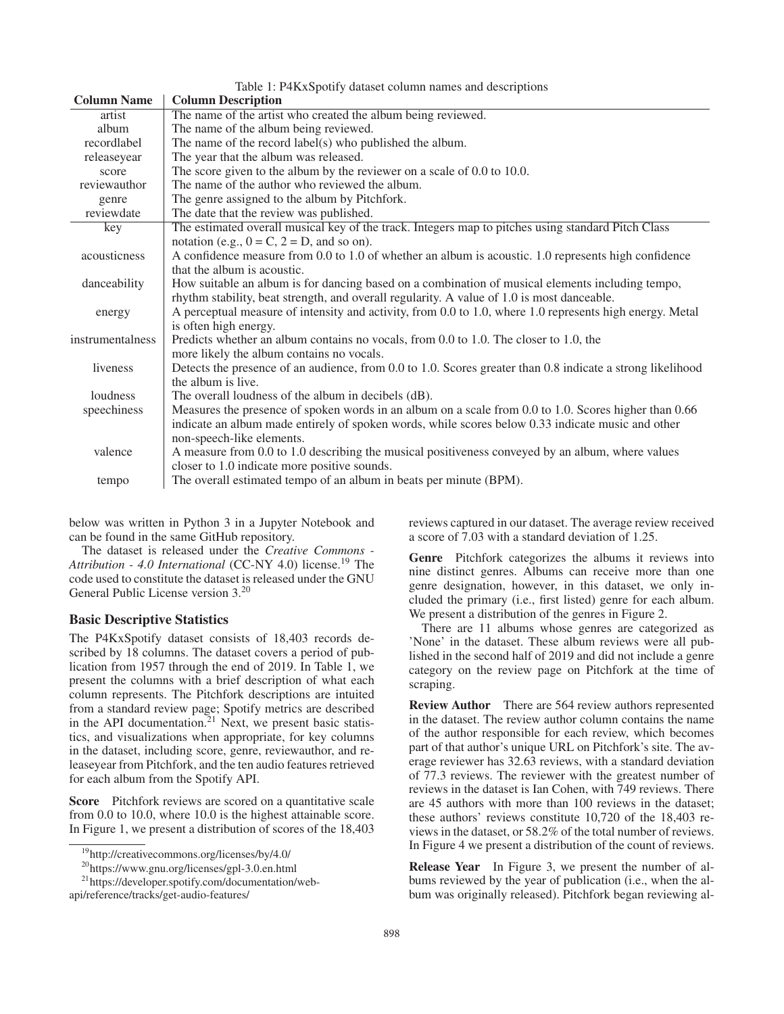| Table 1: P4KxSpotify dataset column names and descriptions |                                                                                                            |
|------------------------------------------------------------|------------------------------------------------------------------------------------------------------------|
| <b>Column Name</b>                                         | <b>Column Description</b>                                                                                  |
| artist                                                     | The name of the artist who created the album being reviewed.                                               |
| album                                                      | The name of the album being reviewed.                                                                      |
| recordlabel                                                | The name of the record label(s) who published the album.                                                   |
| releaseyear                                                | The year that the album was released.                                                                      |
| score                                                      | The score given to the album by the reviewer on a scale of 0.0 to 10.0.                                    |
| reviewauthor                                               | The name of the author who reviewed the album.                                                             |
| genre                                                      | The genre assigned to the album by Pitchfork.                                                              |
| reviewdate                                                 | The date that the review was published.                                                                    |
| key                                                        | The estimated overall musical key of the track. Integers map to pitches using standard Pitch Class         |
|                                                            | notation (e.g., $0 = C$ , $2 = D$ , and so on).                                                            |
| acousticness                                               | A confidence measure from 0.0 to 1.0 of whether an album is acoustic. 1.0 represents high confidence       |
|                                                            | that the album is acoustic.                                                                                |
| danceability                                               | How suitable an album is for dancing based on a combination of musical elements including tempo,           |
|                                                            | rhythm stability, beat strength, and overall regularity. A value of 1.0 is most danceable.                 |
| energy                                                     | A perceptual measure of intensity and activity, from 0.0 to 1.0, where 1.0 represents high energy. Metal   |
|                                                            | is often high energy.                                                                                      |
| instrumentalness                                           | Predicts whether an album contains no vocals, from 0.0 to 1.0. The closer to 1.0, the                      |
|                                                            | more likely the album contains no vocals.                                                                  |
| liveness                                                   | Detects the presence of an audience, from 0.0 to 1.0. Scores greater than 0.8 indicate a strong likelihood |
|                                                            | the album is live.                                                                                         |
| loudness                                                   | The overall loudness of the album in decibels (dB).                                                        |
| speechiness                                                | Measures the presence of spoken words in an album on a scale from 0.0 to 1.0. Scores higher than 0.66      |
|                                                            | indicate an album made entirely of spoken words, while scores below 0.33 indicate music and other          |
|                                                            | non-speech-like elements.                                                                                  |
| valence                                                    | A measure from 0.0 to 1.0 describing the musical positiveness conveyed by an album, where values           |
|                                                            | closer to 1.0 indicate more positive sounds.                                                               |
| tempo                                                      | The overall estimated tempo of an album in beats per minute (BPM).                                         |

below was written in Python 3 in a Jupyter Notebook and can be found in the same GitHub repository.

The dataset is released under the *Creative Commons -* Attribution - 4.0 International (CC-NY 4.0) license.<sup>19</sup> The code used to constitute the dataset is released under the GNU General Public License version 3.<sup>20</sup>

# Basic Descriptive Statistics

The P4KxSpotify dataset consists of 18,403 records described by 18 columns. The dataset covers a period of publication from 1957 through the end of 2019. In Table 1, we present the columns with a brief description of what each column represents. The Pitchfork descriptions are intuited from a standard review page; Spotify metrics are described in the API documentation.<sup>21</sup> Next, we present basic statistics, and visualizations when appropriate, for key columns in the dataset, including score, genre, reviewauthor, and releaseyear from Pitchfork, and the ten audio features retrieved for each album from the Spotify API.

Score Pitchfork reviews are scored on a quantitative scale from 0.0 to 10.0, where 10.0 is the highest attainable score. In Figure 1, we present a distribution of scores of the 18,403 reviews captured in our dataset. The average review received a score of 7.03 with a standard deviation of 1.25.

Genre Pitchfork categorizes the albums it reviews into nine distinct genres. Albums can receive more than one genre designation, however, in this dataset, we only included the primary (i.e., first listed) genre for each album. We present a distribution of the genres in Figure 2.

There are 11 albums whose genres are categorized as 'None' in the dataset. These album reviews were all published in the second half of 2019 and did not include a genre category on the review page on Pitchfork at the time of scraping.

Review Author There are 564 review authors represented in the dataset. The review author column contains the name of the author responsible for each review, which becomes part of that author's unique URL on Pitchfork's site. The average reviewer has 32.63 reviews, with a standard deviation of 77.3 reviews. The reviewer with the greatest number of reviews in the dataset is Ian Cohen, with 749 reviews. There are 45 authors with more than 100 reviews in the dataset; these authors' reviews constitute 10,720 of the 18,403 reviews in the dataset, or 58.2% of the total number of reviews. In Figure 4 we present a distribution of the count of reviews.

Release Year In Figure 3, we present the number of albums reviewed by the year of publication (i.e., when the album was originally released). Pitchfork began reviewing al-

<sup>19</sup>http://creativecommons.org/licenses/by/4.0/

<sup>20</sup>https://www.gnu.org/licenses/gpl-3.0.en.html

<sup>21</sup>https://developer.spotify.com/documentation/web-

api/reference/tracks/get-audio-features/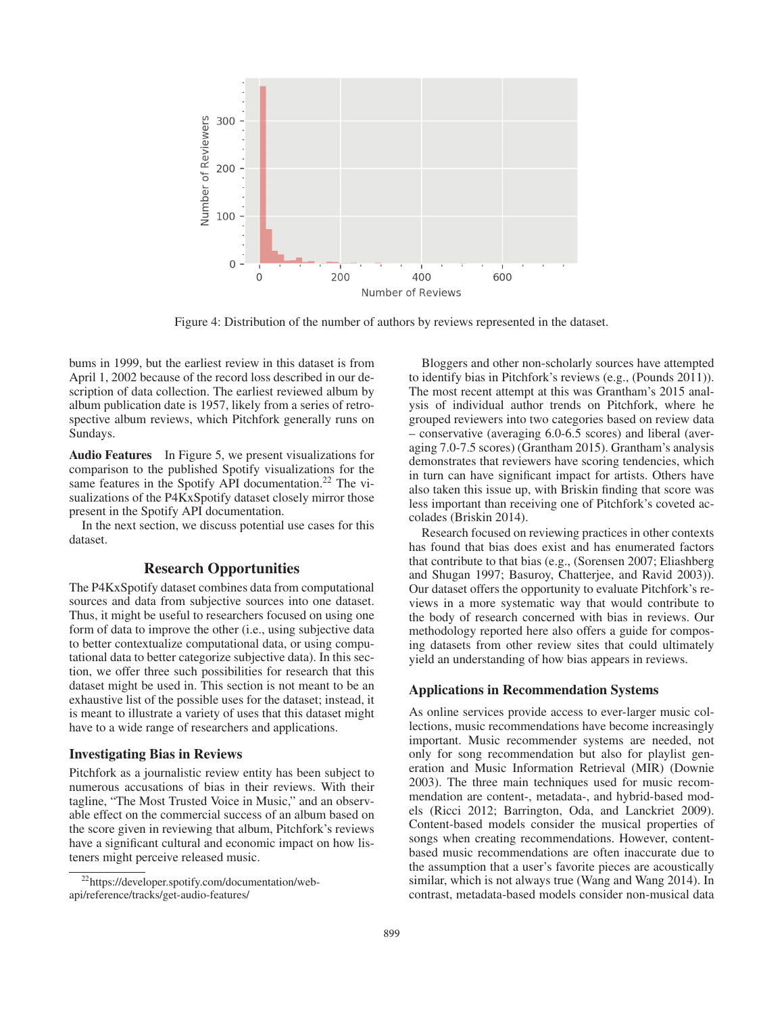

Figure 4: Distribution of the number of authors by reviews represented in the dataset.

bums in 1999, but the earliest review in this dataset is from April 1, 2002 because of the record loss described in our description of data collection. The earliest reviewed album by album publication date is 1957, likely from a series of retrospective album reviews, which Pitchfork generally runs on Sundays.

Audio Features In Figure 5, we present visualizations for comparison to the published Spotify visualizations for the same features in the Spotify API documentation.<sup>22</sup> The visualizations of the P4KxSpotify dataset closely mirror those present in the Spotify API documentation.

In the next section, we discuss potential use cases for this dataset.

# Research Opportunities

The P4KxSpotify dataset combines data from computational sources and data from subjective sources into one dataset. Thus, it might be useful to researchers focused on using one form of data to improve the other (i.e., using subjective data to better contextualize computational data, or using computational data to better categorize subjective data). In this section, we offer three such possibilities for research that this dataset might be used in. This section is not meant to be an exhaustive list of the possible uses for the dataset; instead, it is meant to illustrate a variety of uses that this dataset might have to a wide range of researchers and applications.

### Investigating Bias in Reviews

Pitchfork as a journalistic review entity has been subject to numerous accusations of bias in their reviews. With their tagline, "The Most Trusted Voice in Music," and an observable effect on the commercial success of an album based on the score given in reviewing that album, Pitchfork's reviews have a significant cultural and economic impact on how listeners might perceive released music.

Bloggers and other non-scholarly sources have attempted to identify bias in Pitchfork's reviews (e.g., (Pounds 2011)). The most recent attempt at this was Grantham's 2015 analysis of individual author trends on Pitchfork, where he grouped reviewers into two categories based on review data – conservative (averaging 6.0-6.5 scores) and liberal (averaging 7.0-7.5 scores) (Grantham 2015). Grantham's analysis demonstrates that reviewers have scoring tendencies, which in turn can have significant impact for artists. Others have also taken this issue up, with Briskin finding that score was less important than receiving one of Pitchfork's coveted accolades (Briskin 2014).

Research focused on reviewing practices in other contexts has found that bias does exist and has enumerated factors that contribute to that bias (e.g., (Sorensen 2007; Eliashberg and Shugan 1997; Basuroy, Chatterjee, and Ravid 2003)). Our dataset offers the opportunity to evaluate Pitchfork's reviews in a more systematic way that would contribute to the body of research concerned with bias in reviews. Our methodology reported here also offers a guide for composing datasets from other review sites that could ultimately yield an understanding of how bias appears in reviews.

### Applications in Recommendation Systems

As online services provide access to ever-larger music collections, music recommendations have become increasingly important. Music recommender systems are needed, not only for song recommendation but also for playlist generation and Music Information Retrieval (MIR) (Downie 2003). The three main techniques used for music recommendation are content-, metadata-, and hybrid-based models (Ricci 2012; Barrington, Oda, and Lanckriet 2009). Content-based models consider the musical properties of songs when creating recommendations. However, contentbased music recommendations are often inaccurate due to the assumption that a user's favorite pieces are acoustically similar, which is not always true (Wang and Wang 2014). In contrast, metadata-based models consider non-musical data

<sup>22</sup>https://developer.spotify.com/documentation/webapi/reference/tracks/get-audio-features/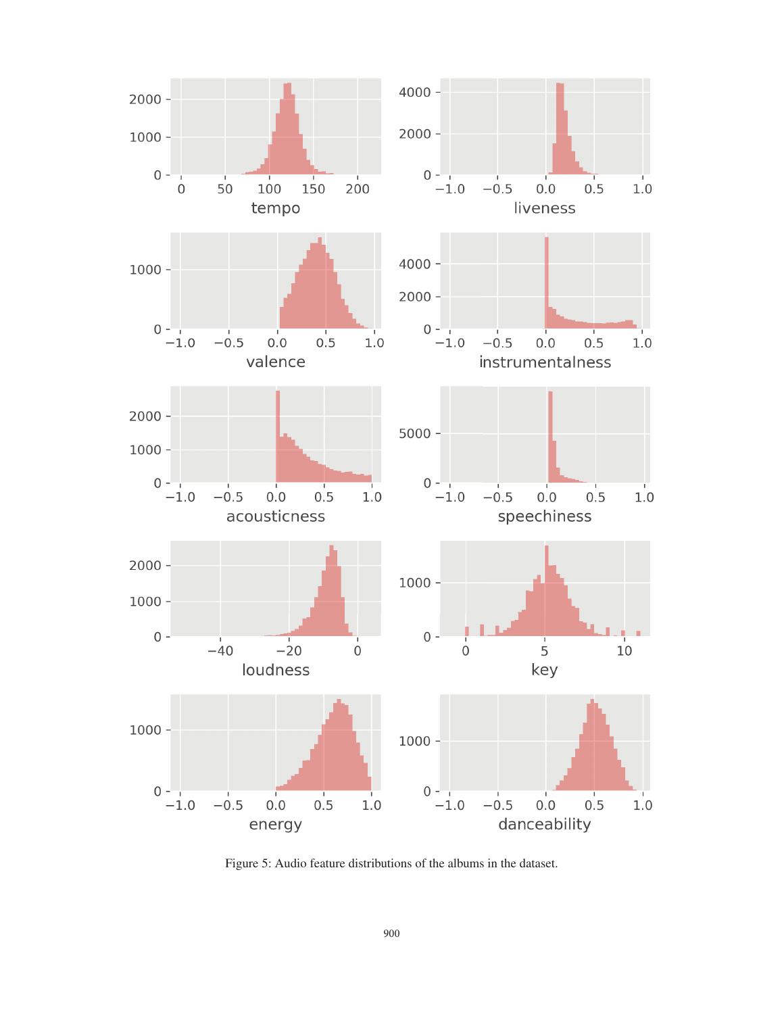

Figure 5: Audio feature distributions of the albums in the dataset.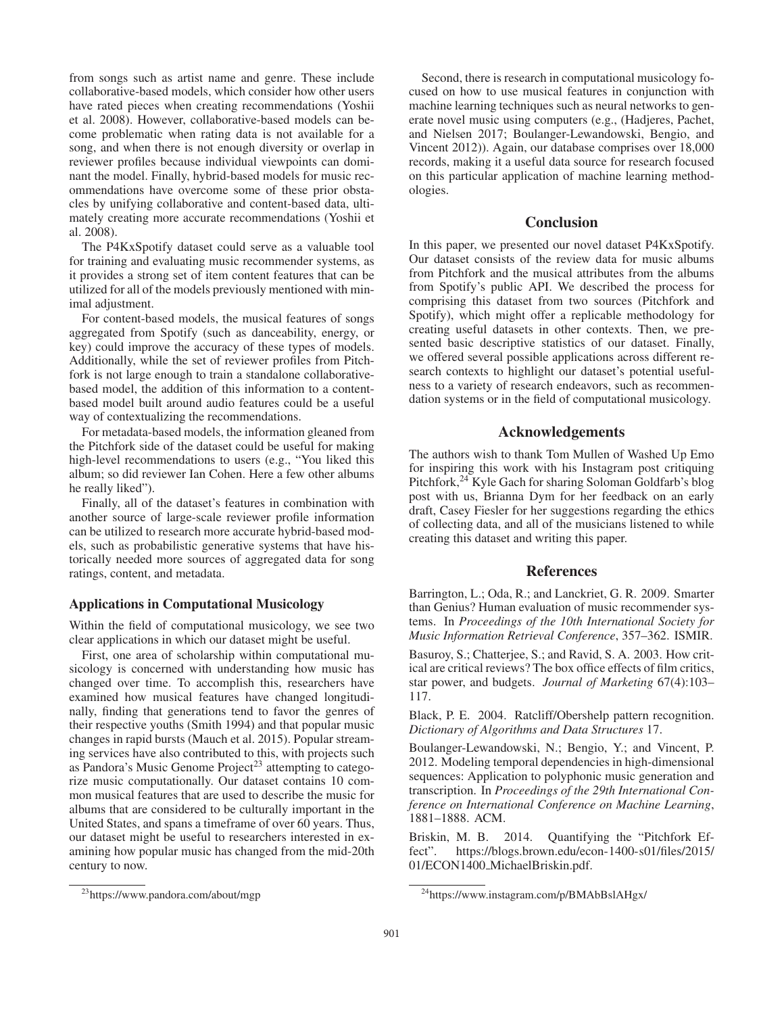from songs such as artist name and genre. These include collaborative-based models, which consider how other users have rated pieces when creating recommendations (Yoshii et al. 2008). However, collaborative-based models can become problematic when rating data is not available for a song, and when there is not enough diversity or overlap in reviewer profiles because individual viewpoints can dominant the model. Finally, hybrid-based models for music recommendations have overcome some of these prior obstacles by unifying collaborative and content-based data, ultimately creating more accurate recommendations (Yoshii et al. 2008).

The P4KxSpotify dataset could serve as a valuable tool for training and evaluating music recommender systems, as it provides a strong set of item content features that can be utilized for all of the models previously mentioned with minimal adjustment.

For content-based models, the musical features of songs aggregated from Spotify (such as danceability, energy, or key) could improve the accuracy of these types of models. Additionally, while the set of reviewer profiles from Pitchfork is not large enough to train a standalone collaborativebased model, the addition of this information to a contentbased model built around audio features could be a useful way of contextualizing the recommendations.

For metadata-based models, the information gleaned from the Pitchfork side of the dataset could be useful for making high-level recommendations to users (e.g., "You liked this album; so did reviewer Ian Cohen. Here a few other albums he really liked").

Finally, all of the dataset's features in combination with another source of large-scale reviewer profile information can be utilized to research more accurate hybrid-based models, such as probabilistic generative systems that have historically needed more sources of aggregated data for song ratings, content, and metadata.

### Applications in Computational Musicology

Within the field of computational musicology, we see two clear applications in which our dataset might be useful.

First, one area of scholarship within computational musicology is concerned with understanding how music has changed over time. To accomplish this, researchers have examined how musical features have changed longitudinally, finding that generations tend to favor the genres of their respective youths (Smith 1994) and that popular music changes in rapid bursts (Mauch et al. 2015). Popular streaming services have also contributed to this, with projects such as Pandora's Music Genome Project<sup>23</sup> attempting to categorize music computationally. Our dataset contains 10 common musical features that are used to describe the music for albums that are considered to be culturally important in the United States, and spans a timeframe of over 60 years. Thus, our dataset might be useful to researchers interested in examining how popular music has changed from the mid-20th century to now.

Second, there is research in computational musicology focused on how to use musical features in conjunction with machine learning techniques such as neural networks to generate novel music using computers (e.g., (Hadjeres, Pachet, and Nielsen 2017; Boulanger-Lewandowski, Bengio, and Vincent 2012)). Again, our database comprises over 18,000 records, making it a useful data source for research focused on this particular application of machine learning methodologies.

#### **Conclusion**

In this paper, we presented our novel dataset P4KxSpotify. Our dataset consists of the review data for music albums from Pitchfork and the musical attributes from the albums from Spotify's public API. We described the process for comprising this dataset from two sources (Pitchfork and Spotify), which might offer a replicable methodology for creating useful datasets in other contexts. Then, we presented basic descriptive statistics of our dataset. Finally, we offered several possible applications across different research contexts to highlight our dataset's potential usefulness to a variety of research endeavors, such as recommendation systems or in the field of computational musicology.

### Acknowledgements

The authors wish to thank Tom Mullen of Washed Up Emo for inspiring this work with his Instagram post critiquing Pitchfork,<sup>24</sup> Kyle Gach for sharing Soloman Goldfarb's blog post with us, Brianna Dym for her feedback on an early draft, Casey Fiesler for her suggestions regarding the ethics of collecting data, and all of the musicians listened to while creating this dataset and writing this paper.

### References

Barrington, L.; Oda, R.; and Lanckriet, G. R. 2009. Smarter than Genius? Human evaluation of music recommender systems. In *Proceedings of the 10th International Society for Music Information Retrieval Conference*, 357–362. ISMIR.

Basuroy, S.; Chatterjee, S.; and Ravid, S. A. 2003. How critical are critical reviews? The box office effects of film critics, star power, and budgets. *Journal of Marketing* 67(4):103– 117.

Black, P. E. 2004. Ratcliff/Obershelp pattern recognition. *Dictionary of Algorithms and Data Structures* 17.

Boulanger-Lewandowski, N.; Bengio, Y.; and Vincent, P. 2012. Modeling temporal dependencies in high-dimensional sequences: Application to polyphonic music generation and transcription. In *Proceedings of the 29th International Conference on International Conference on Machine Learning*, 1881–1888. ACM.

Briskin, M. B. 2014. Quantifying the "Pitchfork Effect". https://blogs.brown.edu/econ-1400-s01/files/2015/ 01/ECON1400 MichaelBriskin.pdf.

<sup>23</sup>https://www.pandora.com/about/mgp

<sup>24</sup>https://www.instagram.com/p/BMAbBslAHgx/